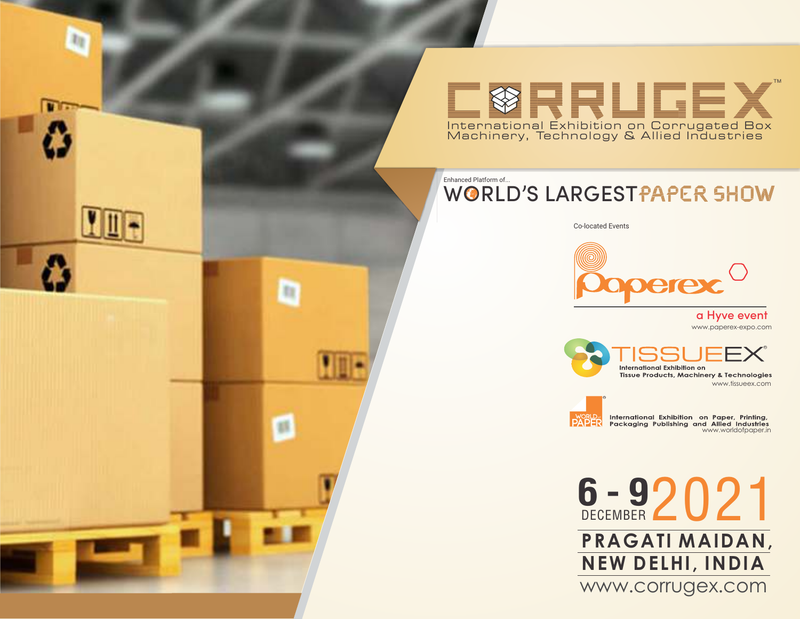TM **ØRRLIGEX** International Exhibition on Corrugated Box Machinery, Technology & Allied Industries

## WORLD'S LARGESTPAPER SHOW Enhanced Platform of...

Co-located Events



www.paperex-expo.com a Hyve event

R International Exhibition on **Tissue Products, Machinery & Technologies** www.tissueex.com



m

(st)

world International Exhibition on Paper, Printing,<br>**PAPER** Packaging Publishing and Allied Industries<br>www.worldofpaper.in

6 - 9 2 0 2 1 **PRAGAT I MAIDAN, NEW DELHI, INDIA** www.corrugex.com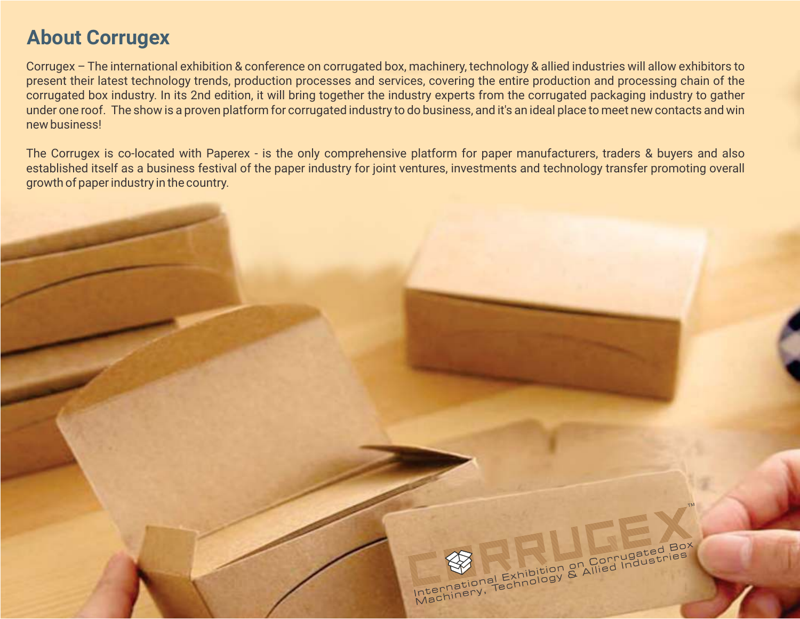# **About Corrugex**

Corrugex – The international exhibition & conference on corrugated box, machinery, technology & allied industries will allow exhibitors to present their latest technology trends, production processes and services, covering the entire production and processing chain of the corrugated box industry. In its 2nd edition, it will bring together the industry experts from the corrugated packaging industry to gather under one roof. The show is a proven platform for corrugated industry to do business, and it's an ideal place to meet new contacts and win new business!

The Corrugex is co-located with Paperex - is the only comprehensive platform for paper manufacturers, traders & buyers and also established itself as a business festival of the paper industry for joint ventures, investments and technology transfer promoting overall growth of paper industry in the country.

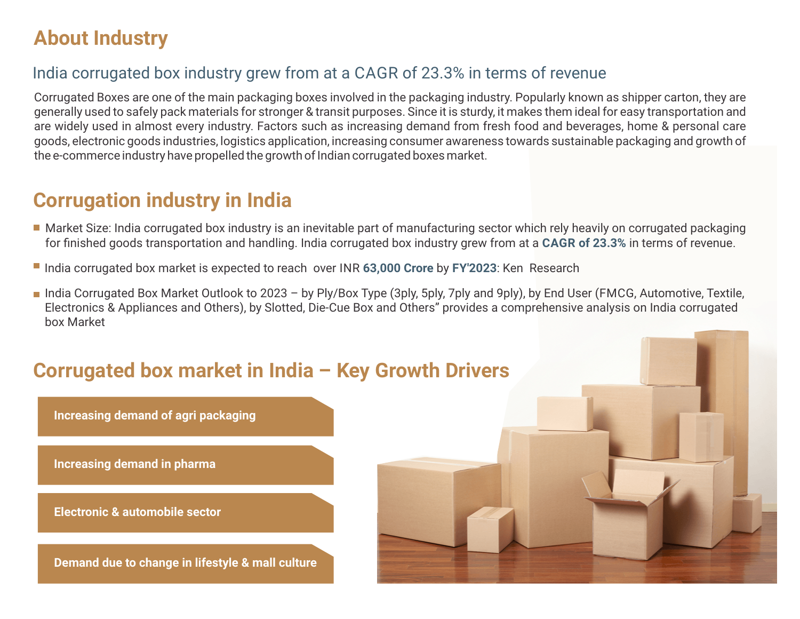# **About Industry**

# India corrugated box industry grew from at a CAGR of 23.3% in terms of revenue

Corrugated Boxes are one of the main packaging boxes involved in the packaging industry. Popularly known as shipper carton, they are generally used to safely pack materials for stronger & transit purposes. Since it is sturdy, it makes them ideal for easy transportation and are widely used in almost every industry. Factors such as increasing demand from fresh food and beverages, home & personal care goods, electronic goods industries, logistics application, increasing consumer awareness towards sustainable packaging and growth of the e-commerce industry have propelled the growth of Indian corrugated boxes market.

# **Corrugation industry in India**

- Market Size: India corrugated box industry is an inevitable part of manufacturing sector which rely heavily on corrugated packaging for finished goods transportation and handling. India corrugated box industry grew from at a **CAGR of 23.3%** in terms of revenue.
- India corrugated box market is expected to reach over INR **63,000 Crore** by **FY'2023**: Ken Research
- India Corrugated Box Market Outlook to 2023 by Ply/Box Type (3ply, 5ply, 7ply and 9ply), by End User (FMCG, Automotive, Textile, Electronics & Appliances and Others), by Slotted, Die-Cue Box and Others" provides a comprehensive analysis on India corrugated box Market

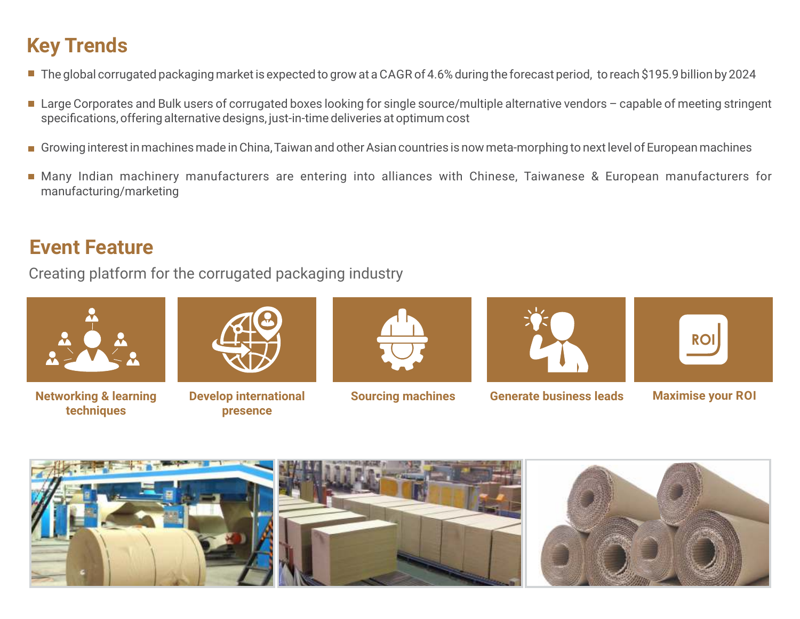# **Key Trends**

- The global corrugated packaging market is expected to grow at a CAGR of 4.6% during the forecast period, to reach \$195.9 billion by 2024
- Large Corporates and Bulk users of corrugated boxes looking for single source/multiple alternative vendors capable of meeting stringent specifications, offering alternative designs, just-in-time deliveries at optimum cost
- Growing interest in machines made in China, Taiwan and other Asian countries is now meta-morphing to next level of European machines
- Many Indian machinery manufacturers are entering into alliances with Chinese, Taiwanese & European manufacturers for manufacturing/marketing

# **Event Feature**

Creating platform for the corrugated packaging industry



**Networking & learning techniques** 



**Develop international Sourcing machines presence** 





**Generate business leads Maximise your ROI**



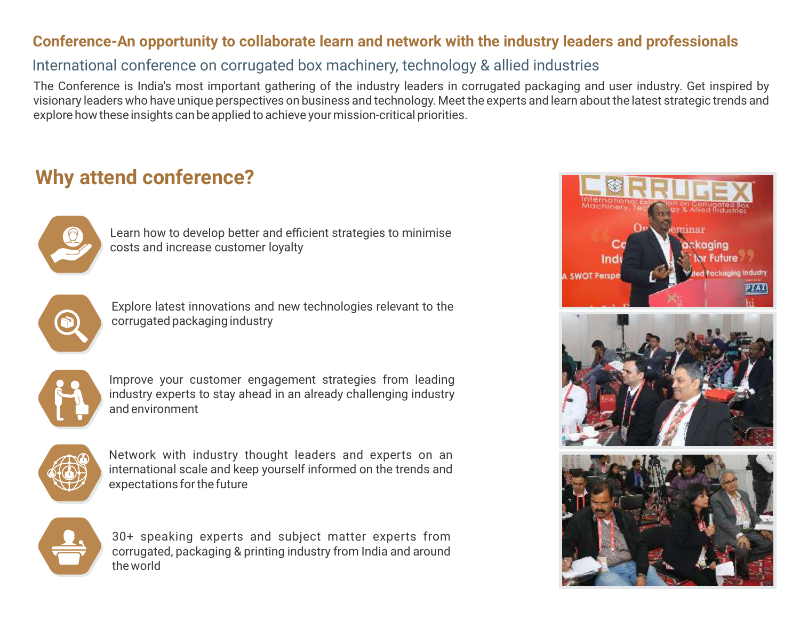## **Conference-An opportunity to collaborate learn and network with the industry leaders and professionals**

## International conference on corrugated box machinery, technology & allied industries

The Conference is India's most important gathering of the industry leaders in corrugated packaging and user industry. Get inspired by visionary leaders who have unique perspectives on business and technology. Meet the experts and learn about the latest strategic trends and explore how these insights can be applied to achieve your mission-critical priorities.

# **Why attend conference?**



Learn how to develop better and efficient strategies to minimise costs and increase customer loyalty



Explore latest innovations and new technologies relevant to the corrugated packaging industry



Improve your customer engagement strategies from leading industry experts to stay ahead in an already challenging industry and environment



Network with industry thought leaders and experts on an international scale and keep yourself informed on the trends and expectations for the future



30+ speaking experts and subject matter experts from corrugated, packaging & printing industry from India and around the world

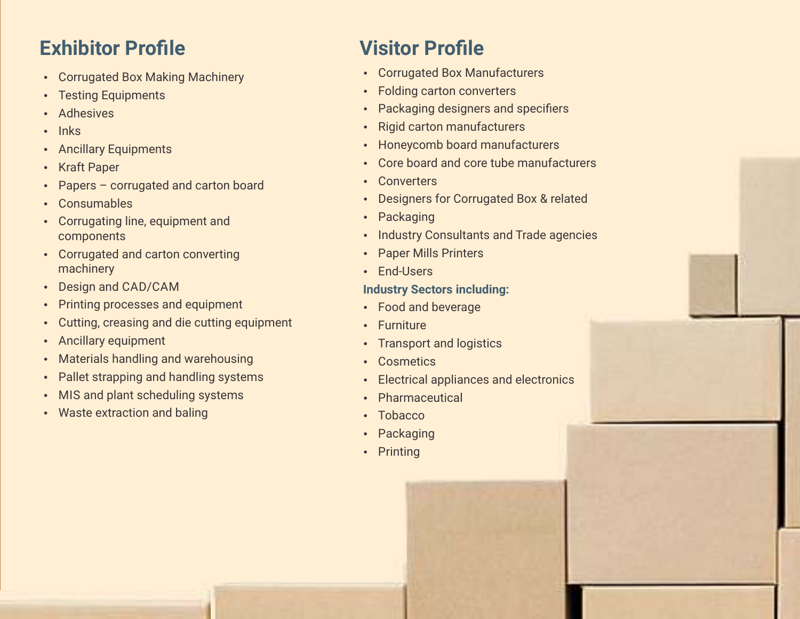# **Exhibitor Profile Visitor Profile**

- Corrugated Box Making Machinery
- Testing Equipments
- Adhesives
- Inks
- Ancillary Equipments
- Kraft Paper
- Papers corrugated and carton board
- Consumables
- Corrugating line, equipment and components
- Corrugated and carton converting machinery
- Design and CAD/CAM
- Printing processes and equipment
- Cutting, creasing and die cutting equipment
- Ancillary equipment
- Materials handling and warehousing
- Pallet strapping and handling systems
- MIS and plant scheduling systems
- Waste extraction and baling

- Corrugated Box Manufacturers
- Folding carton converters
- Packaging designers and specifiers
- Rigid carton manufacturers
- Honeycomb board manufacturers
- Core board and core tube manufacturers
- Converters
- Designers for Corrugated Box & related
- Packaging
- Industry Consultants and Trade agencies
- Paper Mills Printers
- End-Users

## **Industry Sectors including:**

- Food and beverage
- Furniture
- Transport and logistics
- Cosmetics
- Electrical appliances and electronics
- Pharmaceutical
- Tobacco
- Packaging
- Printing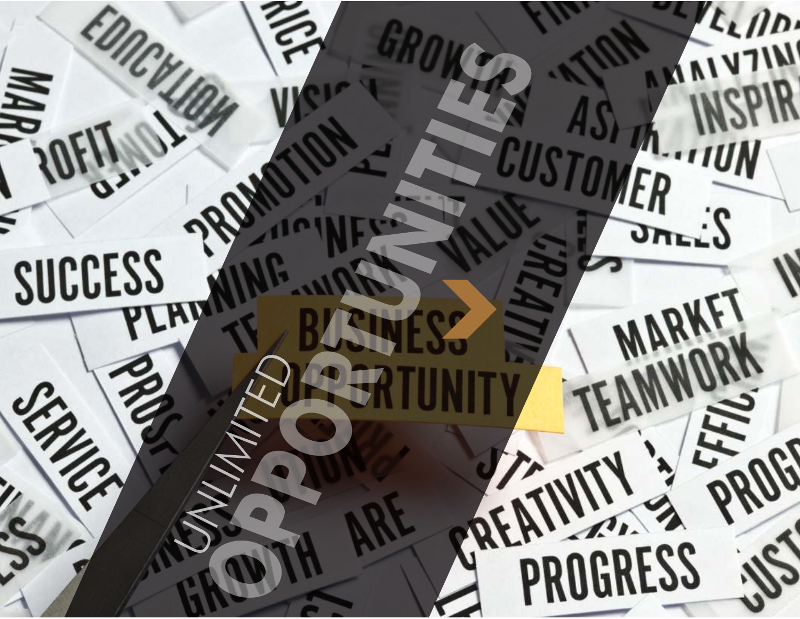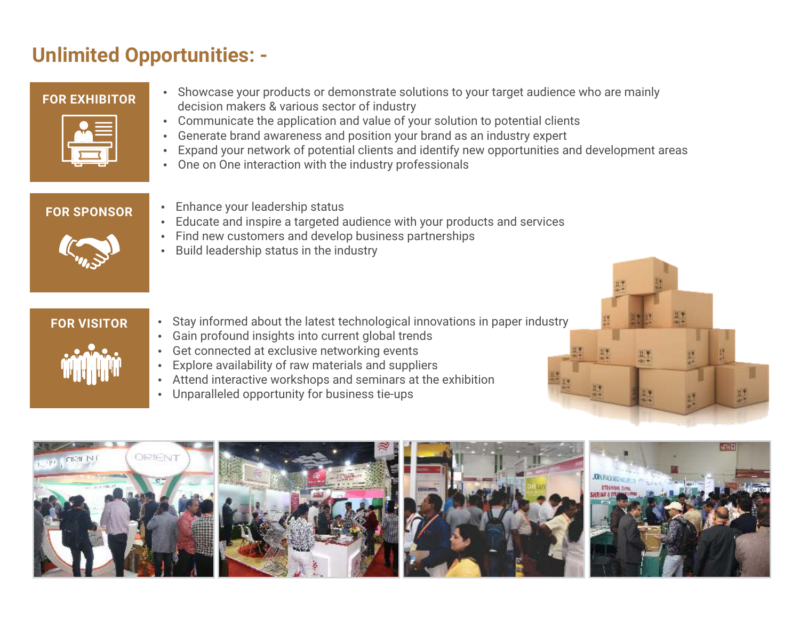# **Unlimited Opportunities: -**

## **FOR EXHIBITOR**

- 
- Showcase your products or demonstrate solutions to your target audience who are mainly decision makers & various sector of industry
- Communicate the application and value of your solution to potential clients
- Generate brand awareness and position your brand as an industry expert
- Expand your network of potential clients and identify new opportunities and development areas
- One on One interaction with the industry professionals

## **FOR SPONSOR**

- 
- Enhance your leadership status
- Educate and inspire a targeted audience with your products and services
- Find new customers and develop business partnerships
- Build leadership status in the industry

## **FOR VISITOR**

- Stay informed about the latest technological innovations in paper industry
- Gain profound insights into current global trends
- Get connected at exclusive networking events
- Explore availability of raw materials and suppliers
- Attend interactive workshops and seminars at the exhibition
- Unparalleled opportunity for business tie-ups